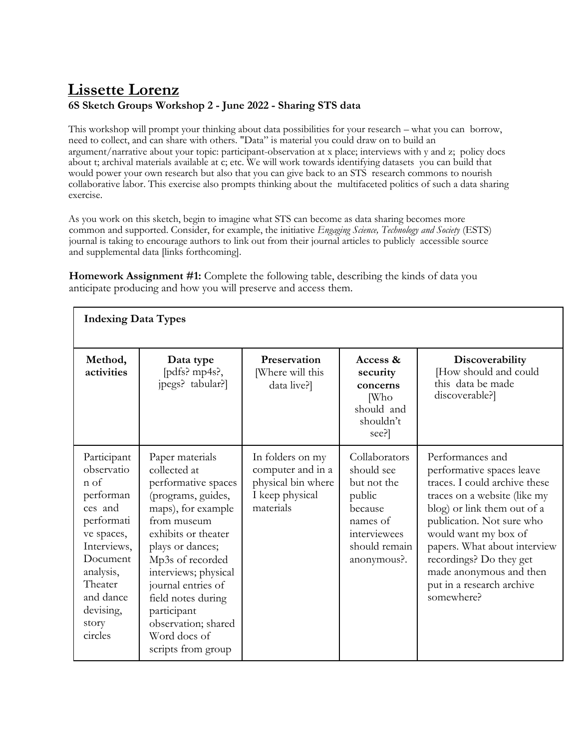## **Lissette Lorenz**

## **6S Sketch Groups Workshop 2 - June 2022 - Sharing STS data**

This workshop will prompt your thinking about data possibilities for your research – what you can borrow, need to collect, and can share with others. "Data" is material you could draw on to build an argument/narrative about your topic: participant-observation at x place; interviews with y and z; policy docs about t; archival materials available at c; etc. We will work towards identifying datasets you can build that would power your own research but also that you can give back to an STS research commons to nourish collaborative labor. This exercise also prompts thinking about the multifaceted politics of such a data sharing exercise.

As you work on this sketch, begin to imagine what STS can become as data sharing becomes more common and supported. Consider, for example, the initiative *Engaging Science, Technology and Society* (ESTS) journal is taking to encourage authors to link out from their journal articles to publicly accessible source and supplemental data [links forthcoming].

**Homework Assignment #1:** Complete the following table, describing the kinds of data you anticipate producing and how you will preserve and access them.

| <b>Indexing Data Types</b>                                                                                                                                                             |                                                                                                                                                                                                                                                                                                                                  |                                                                                             |                                                                                                                             |                                                                                                                                                                                                                                                                                                                                     |  |  |
|----------------------------------------------------------------------------------------------------------------------------------------------------------------------------------------|----------------------------------------------------------------------------------------------------------------------------------------------------------------------------------------------------------------------------------------------------------------------------------------------------------------------------------|---------------------------------------------------------------------------------------------|-----------------------------------------------------------------------------------------------------------------------------|-------------------------------------------------------------------------------------------------------------------------------------------------------------------------------------------------------------------------------------------------------------------------------------------------------------------------------------|--|--|
| Method,<br>activities                                                                                                                                                                  | Data type<br>[pdfs? mp4s?,<br>jpegs? tabular?]                                                                                                                                                                                                                                                                                   | Preservation<br>[Where will this<br>data live?]                                             | Access &<br>security<br>concerns<br><b>Who</b><br>should and<br>shouldn't<br>see?]                                          | Discoverability<br>[How should and could<br>this data be made<br>discoverable?]                                                                                                                                                                                                                                                     |  |  |
| Participant<br>observatio<br>n of<br>performan<br>ces and<br>performati<br>ve spaces,<br>Interviews,<br>Document<br>analysis,<br>Theater<br>and dance<br>devising,<br>story<br>circles | Paper materials<br>collected at<br>performative spaces<br>(programs, guides,<br>maps), for example<br>from museum<br>exhibits or theater<br>plays or dances;<br>Mp3s of recorded<br>interviews; physical<br>journal entries of<br>field notes during<br>participant<br>observation; shared<br>Word docs of<br>scripts from group | In folders on my<br>computer and in a<br>physical bin where<br>I keep physical<br>materials | Collaborators<br>should see<br>but not the<br>public<br>because<br>names of<br>interviewees<br>should remain<br>anonymous?. | Performances and<br>performative spaces leave<br>traces. I could archive these<br>traces on a website (like my<br>blog) or link them out of a<br>publication. Not sure who<br>would want my box of<br>papers. What about interview<br>recordings? Do they get<br>made anonymous and then<br>put in a research archive<br>somewhere? |  |  |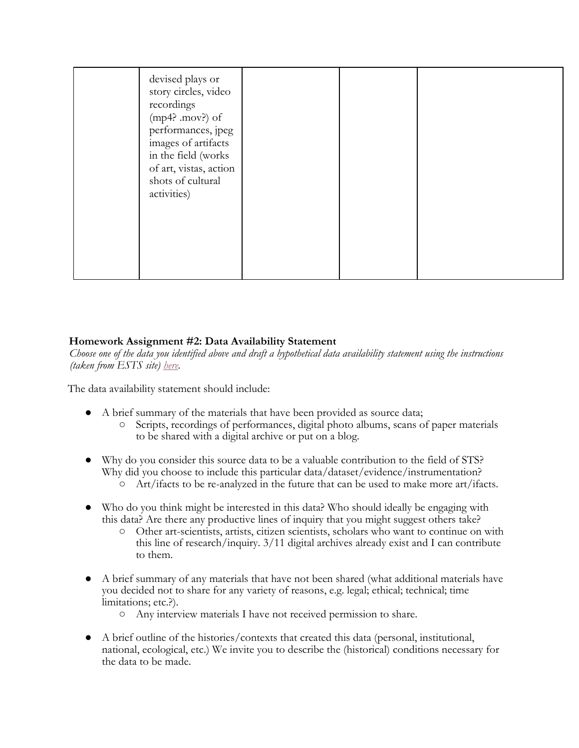| devised plays or<br>story circles, video<br>recordings<br>$(mp4? .mov?)$ of<br>performances, jpeg<br>images of artifacts<br>in the field (works<br>of art, vistas, action<br>shots of cultural<br>activities) |  |  |
|---------------------------------------------------------------------------------------------------------------------------------------------------------------------------------------------------------------|--|--|
|---------------------------------------------------------------------------------------------------------------------------------------------------------------------------------------------------------------|--|--|

## **Homework Assignment #2: Data Availability Statement**

*Choose one of the data you identified above and draft a hypothetical data availability statement using the instructions (taken from ESTS site) here.*

The data availability statement should include:

- A brief summary of the materials that have been provided as source data;
	- Scripts, recordings of performances, digital photo albums, scans of paper materials to be shared with a digital archive or put on a blog.
- Why do you consider this source data to be a valuable contribution to the field of STS? Why did you choose to include this particular data/dataset/evidence/instrumentation? ○ Art/ifacts to be re-analyzed in the future that can be used to make more art/ifacts.
- Who do you think might be interested in this data? Who should ideally be engaging with
	- this data? Are there any productive lines of inquiry that you might suggest others take? ○ Other art-scientists, artists, citizen scientists, scholars who want to continue on with this line of research/inquiry. 3/11 digital archives already exist and I can contribute to them.
- A brief summary of any materials that have not been shared (what additional materials have you decided not to share for any variety of reasons, e.g. legal; ethical; technical; time limitations; etc.?).
	- Any interview materials I have not received permission to share.
- A brief outline of the histories/contexts that created this data (personal, institutional, national, ecological, etc.) We invite you to describe the (historical) conditions necessary for the data to be made.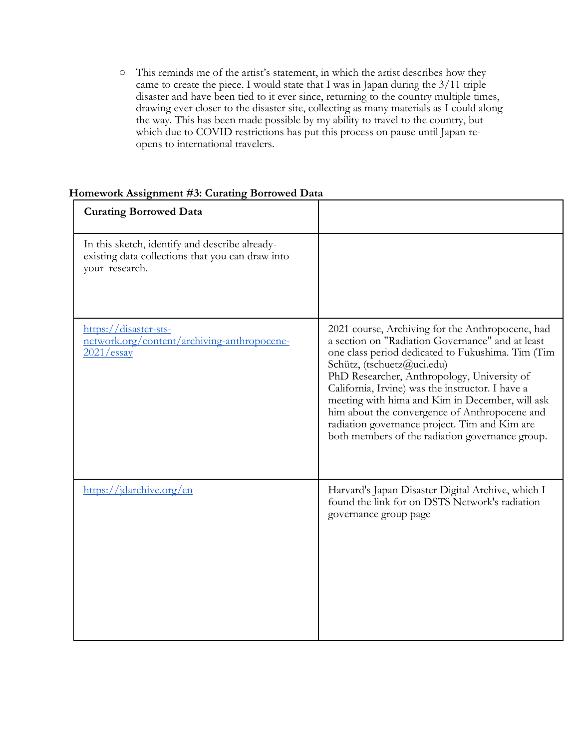○ This reminds me of the artist's statement, in which the artist describes how they came to create the piece. I would state that I was in Japan during the 3/11 triple disaster and have been tied to it ever since, returning to the country multiple times, drawing ever closer to the disaster site, collecting as many materials as I could along the way. This has been made possible by my ability to travel to the country, but which due to COVID restrictions has put this process on pause until Japan reopens to international travelers.

## **Homework Assignment #3: Curating Borrowed Data**

| <b>Curating Borrowed Data</b>                                                                                        |                                                                                                                                                                                                                                                                                                                                                                                                                                                                                                    |
|----------------------------------------------------------------------------------------------------------------------|----------------------------------------------------------------------------------------------------------------------------------------------------------------------------------------------------------------------------------------------------------------------------------------------------------------------------------------------------------------------------------------------------------------------------------------------------------------------------------------------------|
| In this sketch, identify and describe already-<br>existing data collections that you can draw into<br>your research. |                                                                                                                                                                                                                                                                                                                                                                                                                                                                                                    |
| https://disaster-sts-<br>network.org/content/archiving-anthropocene-<br>2021/essay                                   | 2021 course, Archiving for the Anthropocene, had<br>a section on "Radiation Governance" and at least<br>one class period dedicated to Fukushima. Tim (Tim<br>Schütz, (tschuetz@uci.edu)<br>PhD Researcher, Anthropology, University of<br>California, Irvine) was the instructor. I have a<br>meeting with hima and Kim in December, will ask<br>him about the convergence of Anthropocene and<br>radiation governance project. Tim and Kim are<br>both members of the radiation governance group. |
| https://jdarchive.org/en                                                                                             | Harvard's Japan Disaster Digital Archive, which I<br>found the link for on DSTS Network's radiation<br>governance group page                                                                                                                                                                                                                                                                                                                                                                       |